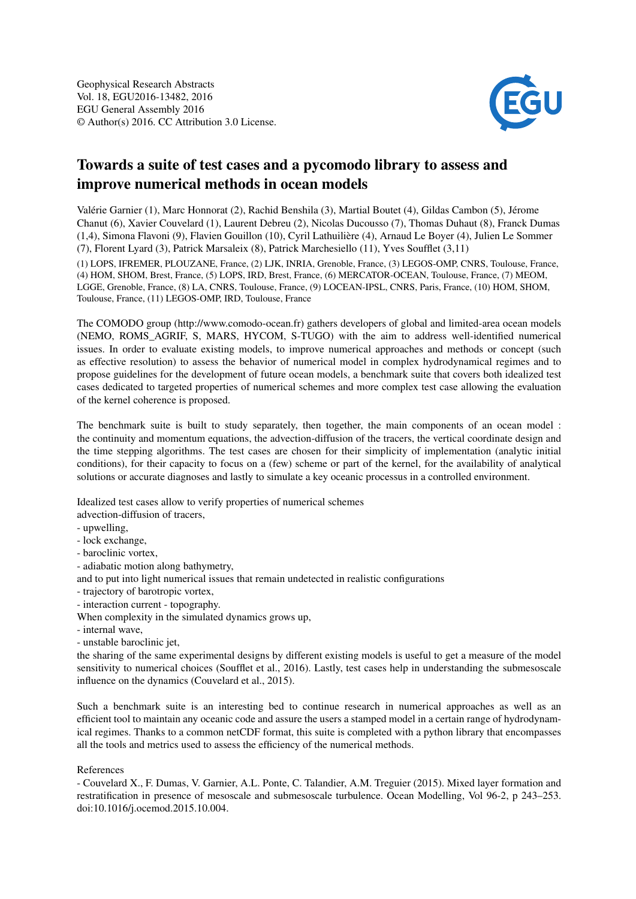

## Towards a suite of test cases and a pycomodo library to assess and improve numerical methods in ocean models

Valérie Garnier (1), Marc Honnorat (2), Rachid Benshila (3), Martial Boutet (4), Gildas Cambon (5), Jérome Chanut (6), Xavier Couvelard (1), Laurent Debreu (2), Nicolas Ducousso (7), Thomas Duhaut (8), Franck Dumas (1,4), Simona Flavoni (9), Flavien Gouillon (10), Cyril Lathuilière (4), Arnaud Le Boyer (4), Julien Le Sommer (7), Florent Lyard (3), Patrick Marsaleix (8), Patrick Marchesiello (11), Yves Soufflet (3,11) (1) LOPS, IFREMER, PLOUZANE, France, (2) LJK, INRIA, Grenoble, France, (3) LEGOS-OMP, CNRS, Toulouse, France, (4) HOM, SHOM, Brest, France, (5) LOPS, IRD, Brest, France, (6) MERCATOR-OCEAN, Toulouse, France, (7) MEOM, LGGE, Grenoble, France, (8) LA, CNRS, Toulouse, France, (9) LOCEAN-IPSL, CNRS, Paris, France, (10) HOM, SHOM, Toulouse, France, (11) LEGOS-OMP, IRD, Toulouse, France

The COMODO group (http://www.comodo-ocean.fr) gathers developers of global and limited-area ocean models (NEMO, ROMS\_AGRIF, S, MARS, HYCOM, S-TUGO) with the aim to address well-identified numerical issues. In order to evaluate existing models, to improve numerical approaches and methods or concept (such as effective resolution) to assess the behavior of numerical model in complex hydrodynamical regimes and to propose guidelines for the development of future ocean models, a benchmark suite that covers both idealized test cases dedicated to targeted properties of numerical schemes and more complex test case allowing the evaluation of the kernel coherence is proposed.

The benchmark suite is built to study separately, then together, the main components of an ocean model : the continuity and momentum equations, the advection-diffusion of the tracers, the vertical coordinate design and the time stepping algorithms. The test cases are chosen for their simplicity of implementation (analytic initial conditions), for their capacity to focus on a (few) scheme or part of the kernel, for the availability of analytical solutions or accurate diagnoses and lastly to simulate a key oceanic processus in a controlled environment.

Idealized test cases allow to verify properties of numerical schemes

advection-diffusion of tracers,

- upwelling,
- lock exchange,
- baroclinic vortex,
- adiabatic motion along bathymetry,
- and to put into light numerical issues that remain undetected in realistic configurations
- trajectory of barotropic vortex,
- interaction current topography.
- When complexity in the simulated dynamics grows up,
- internal wave,
- unstable baroclinic jet,

the sharing of the same experimental designs by different existing models is useful to get a measure of the model sensitivity to numerical choices (Soufflet et al., 2016). Lastly, test cases help in understanding the submesoscale influence on the dynamics (Couvelard et al., 2015).

Such a benchmark suite is an interesting bed to continue research in numerical approaches as well as an efficient tool to maintain any oceanic code and assure the users a stamped model in a certain range of hydrodynamical regimes. Thanks to a common netCDF format, this suite is completed with a python library that encompasses all the tools and metrics used to assess the efficiency of the numerical methods.

## References

- Couvelard X., F. Dumas, V. Garnier, A.L. Ponte, C. Talandier, A.M. Treguier (2015). Mixed layer formation and restratification in presence of mesoscale and submesoscale turbulence. Ocean Modelling, Vol 96-2, p 243–253. doi:10.1016/j.ocemod.2015.10.004.